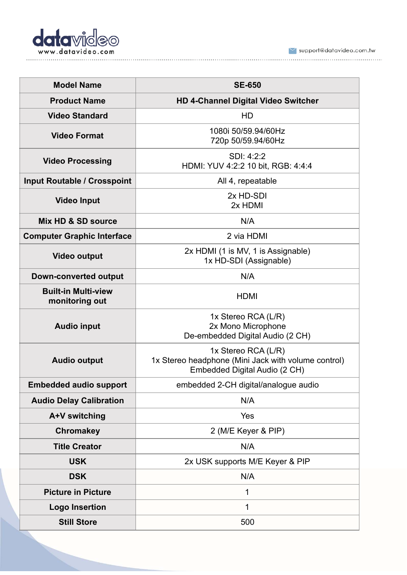

 $\blacktriangleright$  support@datavideo.com.tw 

| <b>Model Name</b>                            | <b>SE-650</b>                                                                                               |
|----------------------------------------------|-------------------------------------------------------------------------------------------------------------|
| <b>Product Name</b>                          | <b>HD 4-Channel Digital Video Switcher</b>                                                                  |
| <b>Video Standard</b>                        | HD                                                                                                          |
| <b>Video Format</b>                          | 1080i 50/59.94/60Hz<br>720p 50/59.94/60Hz                                                                   |
| <b>Video Processing</b>                      | SDI: 4:2:2<br>HDMI: YUV 4:2:2 10 bit, RGB: 4:4:4                                                            |
| <b>Input Routable / Crosspoint</b>           | All 4, repeatable                                                                                           |
| <b>Video Input</b>                           | 2x HD-SDI<br>2x HDMI                                                                                        |
| Mix HD & SD source                           | N/A                                                                                                         |
| <b>Computer Graphic Interface</b>            | 2 via HDMI                                                                                                  |
| <b>Video output</b>                          | 2x HDMI (1 is MV, 1 is Assignable)<br>1x HD-SDI (Assignable)                                                |
| <b>Down-converted output</b>                 | N/A                                                                                                         |
| <b>Built-in Multi-view</b><br>monitoring out | <b>HDMI</b>                                                                                                 |
| <b>Audio input</b>                           | 1x Stereo RCA (L/R)<br>2x Mono Microphone<br>De-embedded Digital Audio (2 CH)                               |
| <b>Audio output</b>                          | 1x Stereo RCA (L/R)<br>1x Stereo headphone (Mini Jack with volume control)<br>Embedded Digital Audio (2 CH) |
| <b>Embedded audio support</b>                | embedded 2-CH digital/analogue audio                                                                        |
| <b>Audio Delay Calibration</b>               | N/A                                                                                                         |
| A+V switching                                | Yes                                                                                                         |
| <b>Chromakey</b>                             | 2 (M/E Keyer & PIP)                                                                                         |
| <b>Title Creator</b>                         | N/A                                                                                                         |
| <b>USK</b>                                   | 2x USK supports M/E Keyer & PIP                                                                             |
| <b>DSK</b>                                   | N/A                                                                                                         |
| <b>Picture in Picture</b>                    | 1                                                                                                           |
| <b>Logo Insertion</b>                        | 1                                                                                                           |
| <b>Still Store</b>                           | 500                                                                                                         |